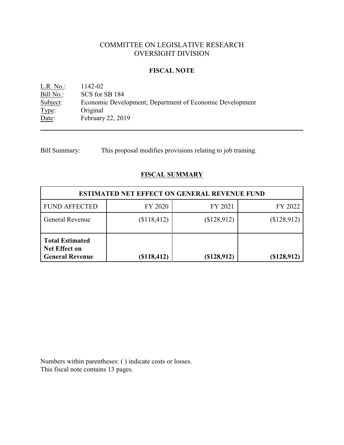# COMMITTEE ON LEGISLATIVE RESEARCH OVERSIGHT DIVISION

#### **FISCAL NOTE**

<u>L.R. No.:</u> 1142-02<br>Bill No.: SCS for : Bill No.: SCS for SB 184<br>Subject: Economic Devel Economic Development; Department of Economic Development Type: Original Date: February 22, 2019

Bill Summary: This proposal modifies provisions relating to job training.

# **FISCAL SUMMARY**

| <b>ESTIMATED NET EFFECT ON GENERAL REVENUE FUND</b>                      |               |             |             |  |
|--------------------------------------------------------------------------|---------------|-------------|-------------|--|
| <b>FUND AFFECTED</b>                                                     | FY 2020       | FY 2021     | FY 2022     |  |
| <b>General Revenue</b>                                                   | \$118,412)    | \$128,912)  | (\$128,912) |  |
| <b>Total Estimated</b><br><b>Net Effect on</b><br><b>General Revenue</b> | $(\$118,412)$ | (\$128,912) | (\$128,912) |  |

Numbers within parentheses: ( ) indicate costs or losses. This fiscal note contains 13 pages.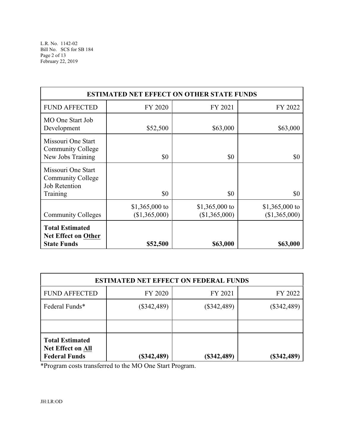| <b>ESTIMATED NET EFFECT ON OTHER STATE FUNDS</b>                                   |                                 |                                 |                                 |  |
|------------------------------------------------------------------------------------|---------------------------------|---------------------------------|---------------------------------|--|
| <b>FUND AFFECTED</b>                                                               | FY 2020                         | FY 2021                         | FY 2022                         |  |
| MO One Start Job<br>Development                                                    | \$52,500                        | \$63,000                        | \$63,000                        |  |
| Missouri One Start<br><b>Community College</b><br>New Jobs Training                | \$0                             | \$0                             | \$0                             |  |
| Missouri One Start<br><b>Community College</b><br><b>Job Retention</b><br>Training | \$0                             | \$0                             | \$0                             |  |
| <b>Community Colleges</b>                                                          | \$1,365,000 to<br>(\$1,365,000) | \$1,365,000 to<br>(\$1,365,000) | \$1,365,000 to<br>(\$1,365,000) |  |
| <b>Total Estimated</b><br><b>Net Effect on Other</b><br><b>State Funds</b>         | \$52,500                        | \$63,000                        | \$63,000                        |  |

| <b>ESTIMATED NET EFFECT ON FEDERAL FUNDS</b>                               |               |               |               |  |
|----------------------------------------------------------------------------|---------------|---------------|---------------|--|
| <b>FUND AFFECTED</b>                                                       | FY 2020       | FY 2021       | FY 2022       |  |
| Federal Funds*                                                             | $(\$342,489)$ | $(\$342,489)$ | $(\$342,489)$ |  |
|                                                                            |               |               |               |  |
| <b>Total Estimated</b><br><b>Net Effect on All</b><br><b>Federal Funds</b> | $(\$342,489)$ | $(*342,489)$  | (\$342,489)   |  |

\*Program costs transferred to the MO One Start Program.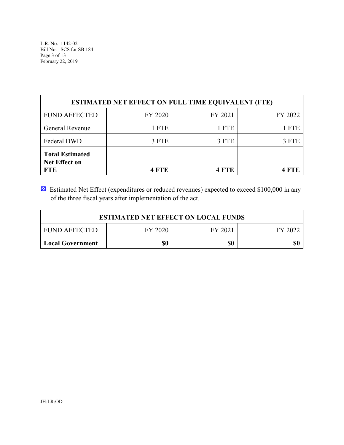L.R. No. 1142-02 Bill No. SCS for SB 184 Page 3 of 13 February 22, 2019

| <b>ESTIMATED NET EFFECT ON FULL TIME EQUIVALENT (FTE)</b>    |         |            |         |  |  |
|--------------------------------------------------------------|---------|------------|---------|--|--|
| <b>FUND AFFECTED</b>                                         | FY 2020 | FY 2021    | FY 2022 |  |  |
| General Revenue                                              | 1 FTE   | 1 FTE      | 1 FTE   |  |  |
| Federal DWD                                                  | 3 FTE   | 3 FTE      | 3 FTE   |  |  |
| <b>Total Estimated</b><br><b>Net Effect on</b><br><b>FTE</b> | 4 FTE   | <b>FTF</b> |         |  |  |

 $\boxtimes$  Estimated Net Effect (expenditures or reduced revenues) expected to exceed \$100,000 in any of the three fiscal years after implementation of the act.

| <b>ESTIMATED NET EFFECT ON LOCAL FUNDS</b>            |  |  |  |  |
|-------------------------------------------------------|--|--|--|--|
| <b>FUND AFFECTED</b><br>FY 2020<br>FY 2021<br>FY 2022 |  |  |  |  |
| \$0<br>SC)<br>\$0<br><b>Local Government</b>          |  |  |  |  |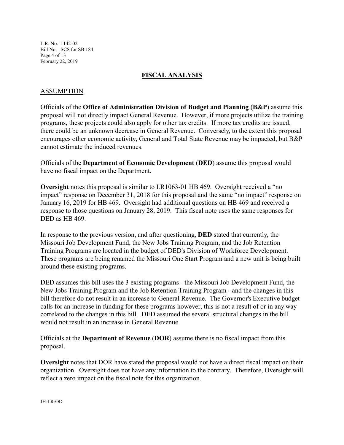L.R. No. 1142-02 Bill No. SCS for SB 184 Page 4 of 13 February 22, 2019

#### **FISCAL ANALYSIS**

### ASSUMPTION

Officials of the **Office of Administration Division of Budget and Planning** (**B&P**) assume this proposal will not directly impact General Revenue. However, if more projects utilize the training programs, these projects could also apply for other tax credits. If more tax credits are issued, there could be an unknown decrease in General Revenue. Conversely, to the extent this proposal encourages other economic activity, General and Total State Revenue may be impacted, but B&P cannot estimate the induced revenues.

Officials of the **Department of Economic Development** (**DED**) assume this proposal would have no fiscal impact on the Department.

**Oversight** notes this proposal is similar to LR1063-01 HB 469. Oversight received a "no impact" response on December 31, 2018 for this proposal and the same "no impact" response on January 16, 2019 for HB 469. Oversight had additional questions on HB 469 and received a response to those questions on January 28, 2019. This fiscal note uses the same responses for DED as HB 469.

In response to the previous version, and after questioning, **DED** stated that currently, the Missouri Job Development Fund, the New Jobs Training Program, and the Job Retention Training Programs are located in the budget of DED's Division of Workforce Development. These programs are being renamed the Missouri One Start Program and a new unit is being built around these existing programs.

DED assumes this bill uses the 3 existing programs - the Missouri Job Development Fund, the New Jobs Training Program and the Job Retention Training Program - and the changes in this bill therefore do not result in an increase to General Revenue. The Governor's Executive budget calls for an increase in funding for these programs however, this is not a result of or in any way correlated to the changes in this bill. DED assumed the several structural changes in the bill would not result in an increase in General Revenue.

Officials at the **Department of Revenue** (**DOR**) assume there is no fiscal impact from this proposal.

**Oversight** notes that DOR have stated the proposal would not have a direct fiscal impact on their organization. Oversight does not have any information to the contrary. Therefore, Oversight will reflect a zero impact on the fiscal note for this organization.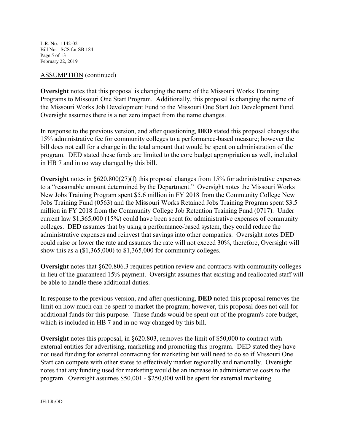L.R. No. 1142-02 Bill No. SCS for SB 184 Page 5 of 13 February 22, 2019

#### ASSUMPTION (continued)

**Oversight** notes that this proposal is changing the name of the Missouri Works Training Programs to Missouri One Start Program. Additionally, this proposal is changing the name of the Missouri Works Job Development Fund to the Missouri One Start Job Development Fund. Oversight assumes there is a net zero impact from the name changes.

In response to the previous version, and after questioning, **DED** stated this proposal changes the 15% administrative fee for community colleges to a performance-based measure; however the bill does not call for a change in the total amount that would be spent on administration of the program. DED stated these funds are limited to the core budget appropriation as well, included in HB 7 and in no way changed by this bill.

**Oversight** notes in §620.800(27)(f) this proposal changes from 15% for administrative expenses to a "reasonable amount determined by the Department." Oversight notes the Missouri Works New Jobs Training Program spent \$5.6 million in FY 2018 from the Community College New Jobs Training Fund (0563) and the Missouri Works Retained Jobs Training Program spent \$3.5 million in FY 2018 from the Community College Job Retention Training Fund (0717). Under current law \$1,365,000 (15%) could have been spent for administrative expenses of community colleges. DED assumes that by using a performance-based system, they could reduce the administrative expenses and reinvest that savings into other companies. Oversight notes DED could raise or lower the rate and assumes the rate will not exceed 30%, therefore, Oversight will show this as a (\$1,365,000) to \$1,365,000 for community colleges.

**Oversight** notes that §620.806.3 requires petition review and contracts with community colleges in lieu of the guaranteed 15% payment. Oversight assumes that existing and reallocated staff will be able to handle these additional duties.

In response to the previous version, and after questioning, **DED** noted this proposal removes the limit on how much can be spent to market the program; however, this proposal does not call for additional funds for this purpose. These funds would be spent out of the program's core budget, which is included in HB 7 and in no way changed by this bill.

**Oversight** notes this proposal, in §620.803, removes the limit of \$50,000 to contract with external entities for advertising, marketing and promoting this program. DED stated they have not used funding for external contracting for marketing but will need to do so if Missouri One Start can compete with other states to effectively market regionally and nationally. Oversight notes that any funding used for marketing would be an increase in administrative costs to the program. Oversight assumes \$50,001 - \$250,000 will be spent for external marketing.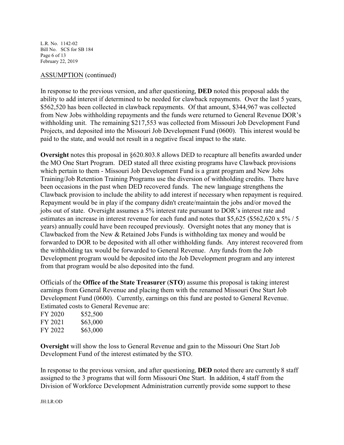L.R. No. 1142-02 Bill No. SCS for SB 184 Page 6 of 13 February 22, 2019

#### ASSUMPTION (continued)

In response to the previous version, and after questioning, **DED** noted this proposal adds the ability to add interest if determined to be needed for clawback repayments. Over the last 5 years, \$562,520 has been collected in clawback repayments. Of that amount, \$344,967 was collected from New Jobs withholding repayments and the funds were returned to General Revenue DOR's withholding unit. The remaining \$217,553 was collected from Missouri Job Development Fund Projects, and deposited into the Missouri Job Development Fund (0600). This interest would be paid to the state, and would not result in a negative fiscal impact to the state.

**Oversight** notes this proposal in §620.803.8 allows DED to recapture all benefits awarded under the MO One Start Program. DED stated all three existing programs have Clawback provisions which pertain to them - Missouri Job Development Fund is a grant program and New Jobs Training/Job Retention Training Programs use the diversion of withholding credits. There have been occasions in the past when DED recovered funds. The new language strengthens the Clawback provision to include the ability to add interest if necessary when repayment is required. Repayment would be in play if the company didn't create/maintain the jobs and/or moved the jobs out of state. Oversight assumes a 5% interest rate pursuant to DOR's interest rate and estimates an increase in interest revenue for each fund and notes that \$5,625 (\$562,620 x 5% / 5 years) annually could have been recouped previously. Oversight notes that any money that is Clawbacked from the New & Retained Jobs Funds is withholding tax money and would be forwarded to DOR to be deposited with all other withholding funds. Any interest recovered from the withholding tax would be forwarded to General Revenue. Any funds from the Job Development program would be deposited into the Job Development program and any interest from that program would be also deposited into the fund.

Officials of the **Office of the State Treasurer** (**STO**) assume this proposal is taking interest earnings from General Revenue and placing them with the renamed Missouri One Start Job Development Fund (0600). Currently, earnings on this fund are posted to General Revenue. Estimated costs to General Revenue are:

| FY 2020 | \$52,500 |
|---------|----------|
| FY 2021 | \$63,000 |
| FY 2022 | \$63,000 |

**Oversight** will show the loss to General Revenue and gain to the Missouri One Start Job Development Fund of the interest estimated by the STO.

In response to the previous version, and after questioning, **DED** noted there are currently 8 staff assigned to the 3 programs that will form Missouri One Start. In addition, 4 staff from the Division of Workforce Development Administration currently provide some support to these

JH:LR:OD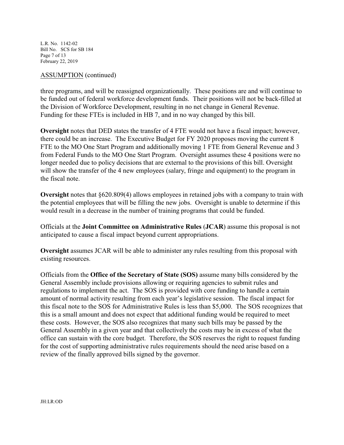L.R. No. 1142-02 Bill No. SCS for SB 184 Page 7 of 13 February 22, 2019

#### ASSUMPTION (continued)

three programs, and will be reassigned organizationally. These positions are and will continue to be funded out of federal workforce development funds. Their positions will not be back-filled at the Division of Workforce Development, resulting in no net change in General Revenue. Funding for these FTEs is included in HB 7, and in no way changed by this bill.

**Oversight** notes that DED states the transfer of 4 FTE would not have a fiscal impact; however, there could be an increase. The Executive Budget for FY 2020 proposes moving the current 8 FTE to the MO One Start Program and additionally moving 1 FTE from General Revenue and 3 from Federal Funds to the MO One Start Program. Oversight assumes these 4 positions were no longer needed due to policy decisions that are external to the provisions of this bill. Oversight will show the transfer of the 4 new employees (salary, fringe and equipment) to the program in the fiscal note.

**Oversight** notes that §620.809(4) allows employees in retained jobs with a company to train with the potential employees that will be filling the new jobs. Oversight is unable to determine if this would result in a decrease in the number of training programs that could be funded.

Officials at the **Joint Committee on Administrative Rules** (**JCAR**) assume this proposal is not anticipated to cause a fiscal impact beyond current appropriations.

**Oversight** assumes JCAR will be able to administer any rules resulting from this proposal with existing resources.

Officials from the **Office of the Secretary of State (SOS)** assume many bills considered by the General Assembly include provisions allowing or requiring agencies to submit rules and regulations to implement the act. The SOS is provided with core funding to handle a certain amount of normal activity resulting from each year's legislative session. The fiscal impact for this fiscal note to the SOS for Administrative Rules is less than \$5,000. The SOS recognizes that this is a small amount and does not expect that additional funding would be required to meet these costs. However, the SOS also recognizes that many such bills may be passed by the General Assembly in a given year and that collectively the costs may be in excess of what the office can sustain with the core budget. Therefore, the SOS reserves the right to request funding for the cost of supporting administrative rules requirements should the need arise based on a review of the finally approved bills signed by the governor.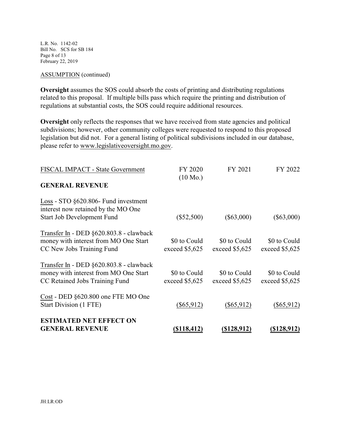L.R. No. 1142-02 Bill No. SCS for SB 184 Page 8 of 13 February 22, 2019

#### ASSUMPTION (continued)

**Oversight** assumes the SOS could absorb the costs of printing and distributing regulations related to this proposal. If multiple bills pass which require the printing and distribution of regulations at substantial costs, the SOS could require additional resources.

**Oversight** only reflects the responses that we have received from state agencies and political subdivisions; however, other community colleges were requested to respond to this proposed legislation but did not. For a general listing of political subdivisions included in our database, please refer to www.legislativeoversight.mo.gov.

| FISCAL IMPACT - State Government                                                                                      | FY 2020<br>$(10 \text{ Mo.})$   | FY 2021                         | FY 2022                         |
|-----------------------------------------------------------------------------------------------------------------------|---------------------------------|---------------------------------|---------------------------------|
| <b>GENERAL REVENUE</b>                                                                                                |                                 |                                 |                                 |
| $Loss - STO$ $§620.806$ - Fund investment<br>interest now retained by the MO One<br><b>Start Job Development Fund</b> | $(\$52,500)$                    | $(\$63,000)$                    | $(\$63,000)$                    |
| Transfer In - DED §620.803.8 - clawback<br>money with interest from MO One Start<br>CC New Jobs Training Fund         | \$0 to Could<br>exceed \$5,625  | \$0 to Could<br>exceed \$5,625  | \$0 to Could<br>exceed $$5,625$ |
| Transfer In - DED §620.803.8 - clawback<br>money with interest from MO One Start<br>CC Retained Jobs Training Fund    | \$0 to Could<br>exceed $$5,625$ | \$0 to Could<br>exceed $$5,625$ | \$0 to Could<br>exceed $$5,625$ |
| Cost - DED §620.800 one FTE MO One<br>Start Division (1 FTE)                                                          | $(\$65,912)$                    | $(\$65,912)$                    | $(\$65,912)$                    |
| <b>ESTIMATED NET EFFECT ON</b><br><b>GENERAL REVENUE</b>                                                              | <u>(\$118,412)</u>              | <u>(\$128,912)</u>              | <u>(\$128,912)</u>              |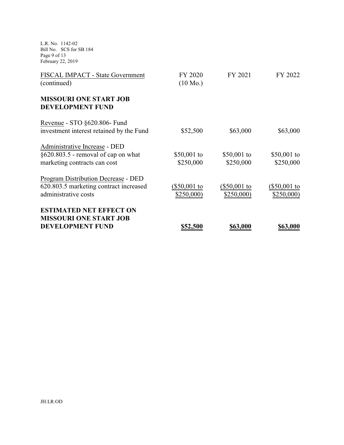L.R. No. 1142-02 Bill No. SCS for SB 184 Page 9 of 13 February 22, 2019

| FISCAL IMPACT - State Government                         | FY 2020            | FY 2021        | FY 2022      |
|----------------------------------------------------------|--------------------|----------------|--------------|
| (continued)                                              | $(10 \text{ Mo.})$ |                |              |
| <b>MISSOURI ONE START JOB</b><br><b>DEVELOPMENT FUND</b> |                    |                |              |
| Revenue - STO §620.806- Fund                             |                    |                |              |
| investment interest retained by the Fund                 | \$52,500           | \$63,000       | \$63,000     |
| Administrative Increase - DED                            |                    |                |              |
| $\S620.803.5$ - removal of cap on what                   | \$50,001 to        | \$50,001 to    | \$50,001 to  |
| marketing contracts can cost                             | \$250,000          | \$250,000      | \$250,000    |
| <b>Program Distribution Decrease - DED</b>               |                    |                |              |
| 620.803.5 marketing contract increased                   | (\$50,001 to       | $(\$50,001$ to | (\$50,001 to |
| administrative costs                                     | \$250,000)         | \$250,000      | \$250,000    |
| <b>ESTIMATED NET EFFECT ON</b>                           |                    |                |              |
| <b>MISSOURI ONE START JOB</b>                            |                    |                |              |
| <b>DEVELOPMENT FUND</b>                                  | \$52,500           | \$63,000       | \$63,000     |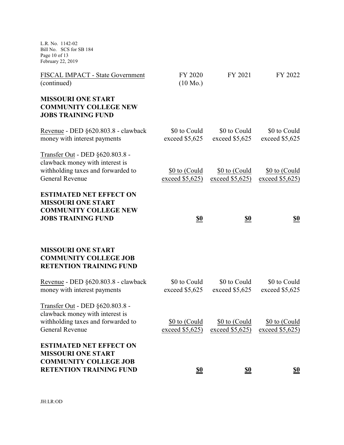L.R. No. 1142-02 Bill No. SCS for SB 184 Page 10 of 13 February 22, 2019

| FISCAL IMPACT - State Government<br>(continued)                                                                                    | FY 2020<br>$(10 \text{ Mo.})$      | FY 2021                            | FY 2022                          |
|------------------------------------------------------------------------------------------------------------------------------------|------------------------------------|------------------------------------|----------------------------------|
| <b>MISSOURI ONE START</b><br><b>COMMUNITY COLLEGE NEW</b><br><b>JOBS TRAINING FUND</b>                                             |                                    |                                    |                                  |
| Revenue - DED §620.803.8 - clawback<br>money with interest payments                                                                | \$0 to Could<br>exceed \$5,625     | \$0 to Could<br>exceed \$5,625     | \$0 to Could<br>exceed \$5,625   |
| Transfer Out - DED §620.803.8 -<br>clawback money with interest is<br>withholding taxes and forwarded to<br><b>General Revenue</b> | \$0 to (Could<br>exceed $$5,625$   | \$0 to (Could<br>exceed $$5,625$   | \$0 to (Could<br>exceed $$5,625$ |
| <b>ESTIMATED NET EFFECT ON</b><br><b>MISSOURI ONE START</b><br><b>COMMUNITY COLLEGE NEW</b><br><b>JOBS TRAINING FUND</b>           | <u>\$0</u>                         | <u>\$0</u>                         | <u>\$0</u>                       |
| <b>MISSOURI ONE START</b><br><b>COMMUNITY COLLEGE JOB</b><br><b>RETENTION TRAINING FUND</b>                                        |                                    |                                    |                                  |
| Revenue - DED §620.803.8 - clawback<br>money with interest payments                                                                | \$0 to Could<br>exceed \$5,625     | \$0 to Could<br>exceed \$5,625     | \$0 to Could<br>exceed $$5,625$  |
| Transfer Out - DED §620.803.8 -<br>clawback money with interest is<br>withholding taxes and forwarded to<br>General Revenue        | \$0 to (Could<br>exceed $$5,625$ ) | \$0 to (Could<br>exceed $$5,625$ ) | \$0 to (Could<br>exceed $$5,625$ |
| <b>ESTIMATED NET EFFECT ON</b><br><b>MISSOURI ONE START</b><br><b>COMMUNITY COLLEGE JOB</b><br><b>RETENTION TRAINING FUND</b>      | S <sub>0</sub>                     | <u>\$0</u>                         | <u>\$0</u>                       |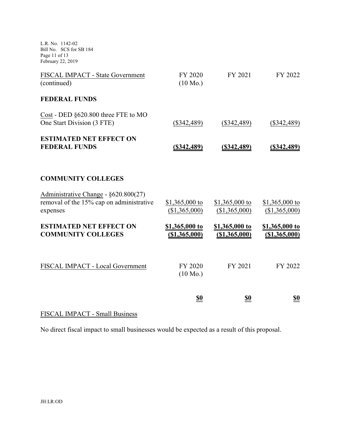L.R. No. 1142-02 Bill No. SCS for SB 184 Page 11 of 13 February 22, 2019

| FISCAL IMPACT - State Government<br>(continued)                                              | FY 2020<br>$(10 \text{ Mo.})$    | FY 2021                         | FY 2022                         |
|----------------------------------------------------------------------------------------------|----------------------------------|---------------------------------|---------------------------------|
| <b>FEDERAL FUNDS</b>                                                                         |                                  |                                 |                                 |
| Cost - DED §620.800 three FTE to MO<br>One Start Division (3 FTE)                            | $(\$342,489)$                    | $(\$342,489)$                   | $(\$342,489)$                   |
| <b>ESTIMATED NET EFFECT ON</b><br><b>FEDERAL FUNDS</b>                                       | $($ \$342,489)                   | (S342, 489)                     | (S342, 489)                     |
| <b>COMMUNITY COLLEGES</b>                                                                    |                                  |                                 |                                 |
| Administrative Change - §620.800(27)<br>removal of the 15% cap on administrative<br>expenses | \$1,365,000 to<br>(\$1,365,000)  | \$1,365,000 to<br>(\$1,365,000) | \$1,365,000 to<br>(\$1,365,000) |
| <b>ESTIMATED NET EFFECT ON</b><br><b>COMMUNITY COLLEGES</b>                                  | \$1,365,000 to<br>( \$1,365,000) | \$1,365,000 to<br>(\$1,365,000) | \$1,365,000 to<br>(\$1,365,000) |
| FISCAL IMPACT - Local Government                                                             | FY 2020<br>$(10 \text{ Mo.})$    | FY 2021                         | FY 2022                         |
|                                                                                              | <u>\$0</u>                       | <u>\$0</u>                      | <u>\$0</u>                      |

# FISCAL IMPACT - Small Business

No direct fiscal impact to small businesses would be expected as a result of this proposal.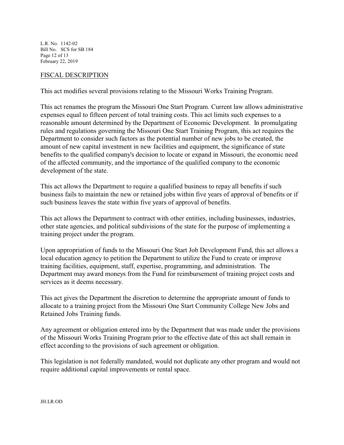L.R. No. 1142-02 Bill No. SCS for SB 184 Page 12 of 13 February 22, 2019

#### FISCAL DESCRIPTION

This act modifies several provisions relating to the Missouri Works Training Program.

This act renames the program the Missouri One Start Program. Current law allows administrative expenses equal to fifteen percent of total training costs. This act limits such expenses to a reasonable amount determined by the Department of Economic Development. In promulgating rules and regulations governing the Missouri One Start Training Program, this act requires the Department to consider such factors as the potential number of new jobs to be created, the amount of new capital investment in new facilities and equipment, the significance of state benefits to the qualified company's decision to locate or expand in Missouri, the economic need of the affected community, and the importance of the qualified company to the economic development of the state.

This act allows the Department to require a qualified business to repay all benefits if such business fails to maintain the new or retained jobs within five years of approval of benefits or if such business leaves the state within five years of approval of benefits.

This act allows the Department to contract with other entities, including businesses, industries, other state agencies, and political subdivisions of the state for the purpose of implementing a training project under the program.

Upon appropriation of funds to the Missouri One Start Job Development Fund, this act allows a local education agency to petition the Department to utilize the Fund to create or improve training facilities, equipment, staff, expertise, programming, and administration. The Department may award moneys from the Fund for reimbursement of training project costs and services as it deems necessary.

This act gives the Department the discretion to determine the appropriate amount of funds to allocate to a training project from the Missouri One Start Community College New Jobs and Retained Jobs Training funds.

Any agreement or obligation entered into by the Department that was made under the provisions of the Missouri Works Training Program prior to the effective date of this act shall remain in effect according to the provisions of such agreement or obligation.

This legislation is not federally mandated, would not duplicate any other program and would not require additional capital improvements or rental space.